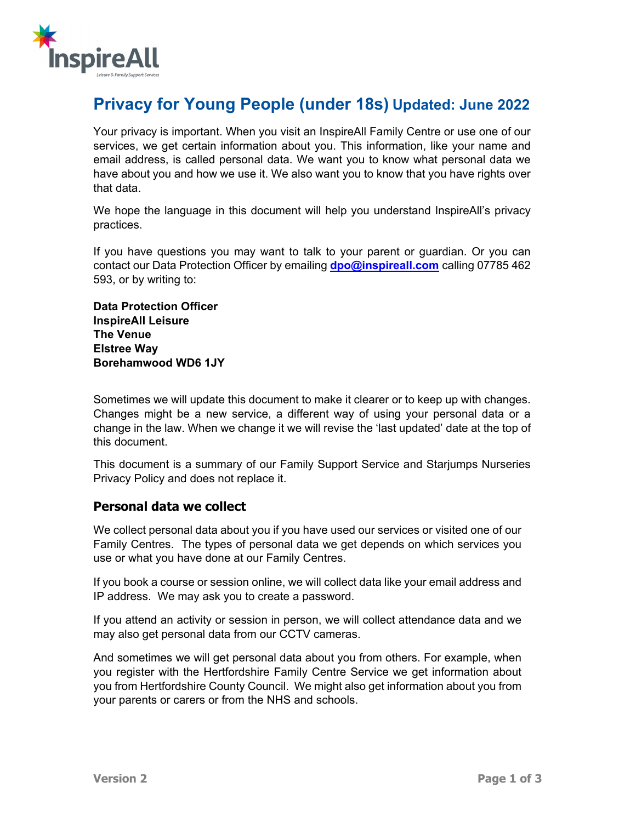

# **Privacy for Young People (under 18s) Updated: June 2022**

Your privacy is important. When you visit an InspireAll Family Centre or use one of our services, we get certain information about you. This information, like your name and email address, is called personal data. We want you to know what personal data we have about you and how we use it. We also want you to know that you have rights over that data.

We hope the language in this document will help you understand InspireAll's privacy practices.

If you have questions you may want to talk to your parent or guardian. Or you can contact our Data Protection Officer by emailing **dpo@inspireall.com** calling 07785 462 593, or by writing to:

**Data Protection Officer InspireAll Leisure The Venue Elstree Way Borehamwood WD6 1JY**

Sometimes we will update this document to make it clearer or to keep up with changes. Changes might be a new service, a different way of using your personal data or a change in the law. When we change it we will revise the 'last updated' date at the top of this document.

This document is a summary of our Family Support Service and Starjumps Nurseries Privacy Policy and does not replace it.

# **Personal data we collect**

We collect personal data about you if you have used our services or visited one of our Family Centres. The types of personal data we get depends on which services you use or what you have done at our Family Centres.

If you book a course or session online, we will collect data like your email address and IP address. We may ask you to create a password.

If you attend an activity or session in person, we will collect attendance data and we may also get personal data from our CCTV cameras.

And sometimes we will get personal data about you from others. For example, when you register with the Hertfordshire Family Centre Service we get information about you from Hertfordshire County Council. We might also get information about you from your parents or carers or from the NHS and schools.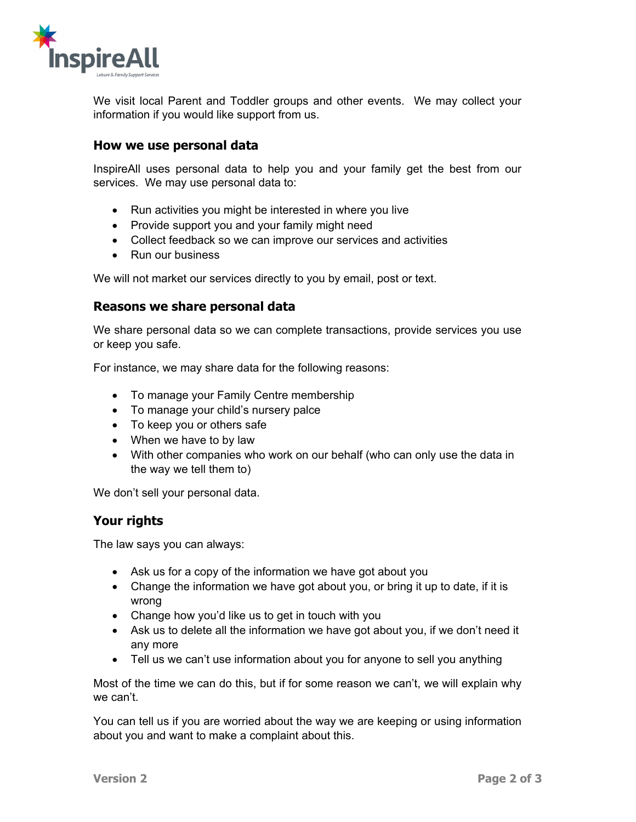

We visit local Parent and Toddler groups and other events. We may collect your information if you would like support from us.

### **How we use personal data**

InspireAll uses personal data to help you and your family get the best from our services. We may use personal data to:

- Run activities you might be interested in where you live
- Provide support you and your family might need
- Collect feedback so we can improve our services and activities
- Run our business

We will not market our services directly to you by email, post or text.

#### **Reasons we share personal data**

We share personal data so we can complete transactions, provide services you use or keep you safe.

For instance, we may share data for the following reasons:

- To manage your Family Centre membership
- To manage your child's nursery palce
- To keep you or others safe
- When we have to by law
- With other companies who work on our behalf (who can only use the data in the way we tell them to)

We don't sell your personal data.

#### **Your rights**

The law says you can always:

- Ask us for a copy of the information we have got about you
- Change the information we have got about you, or bring it up to date, if it is wrong
- Change how you'd like us to get in touch with you
- Ask us to delete all the information we have got about you, if we don't need it any more
- Tell us we can't use information about you for anyone to sell you anything

Most of the time we can do this, but if for some reason we can't, we will explain why we can't.

You can tell us if you are worried about the way we are keeping or using information about you and want to make a complaint about this.